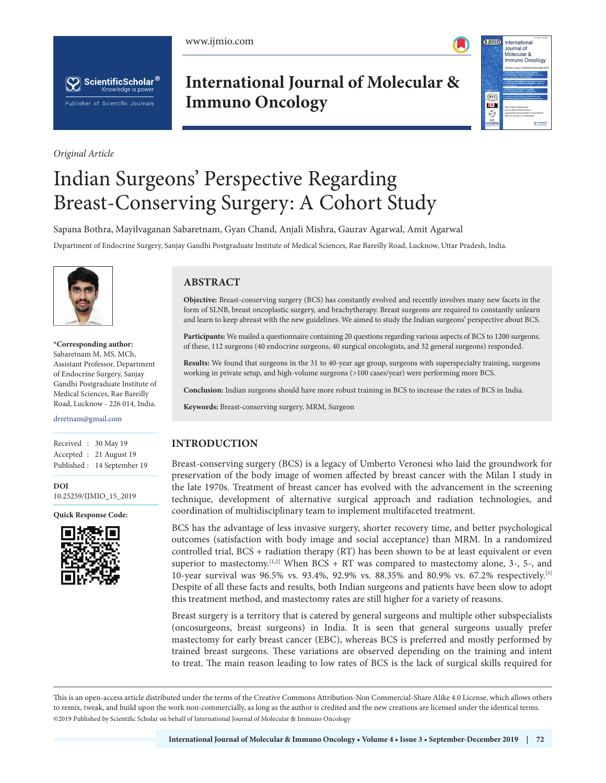www.ijmio.com





*Original Article*

# **International Journal of Molecular & Immuno Oncology**



# Indian Surgeons' Perspective Regarding Breast-Conserving Surgery: A Cohort Study

Sapana Bothra, Mayilvaganan Sabaretnam, Gyan Chand, Anjali Mishra, Gaurav Agarwal, Amit Agarwal

Department of Endocrine Surgery, Sanjay Gandhi Postgraduate Institute of Medical Sciences, Rae Bareilly Road, Lucknow, Uttar Pradesh, India.



**\*Corresponding author:** Sabaretnam M, MS, MCh, Assistant Professor, Department of Endocrine Surgery, Sanjay Gandhi Postgraduate Institute of Medical Sciences, Rae Bareilly Road, Lucknow - 226 014, India.

#### drretnam@gmail.com

Received : 30 May 19 Received : Accepted : 21 August 19 Accepted : Published : 14 September 19 Published :

**DOI DOI** 001<br>10.25259/IJMIO\_15\_2019

**Quick Response Code: Quick Response Code:**



# **ABSTRACT**

**Objective:** Breast-conserving surgery (BCS) has constantly evolved and recently involves many new facets in the form of SLNB, breast oncoplastic surgery, and brachytherapy. Breast surgeons are required to constantly unlearn and learn to keep abreast with the new guidelines. We aimed to study the Indian surgeons' perspective about BCS.

**Participants:** We mailed a questionnaire containing 20 questions regarding various aspects of BCS to 1200 surgeons. of these, 112 surgeons (40 endocrine surgeons, 40 surgical oncologists, and 32 general surgeons) responded.

**Results:** We found that surgeons in the 31 to 40-year age group, surgeons with superspecialty training, surgeons working in private setup, and high-volume surgeons (>100 cases/year) were performing more BCS.

**Conclusion:** Indian surgeons should have more robust training in BCS to increase the rates of BCS in India.

**Keywords:** Breast-conserving surgery, MRM, Surgeon

# **INTRODUCTION**

Breast-conserving surgery (BCS) is a legacy of Umberto Veronesi who laid the groundwork for preservation of the body image of women affected by breast cancer with the Milan I study in the late 1970s. Treatment of breast cancer has evolved with the advancement in the screening technique, development of alternative surgical approach and radiation technologies, and coordination of multidisciplinary team to implement multifaceted treatment.

BCS has the advantage of less invasive surgery, shorter recovery time, and better psychological outcomes (satisfaction with body image and social acceptance) than MRM. In a randomized controlled trial, BCS + radiation therapy (RT) has been shown to be at least equivalent or even superior to mastectomy.<sup>[1,2]</sup> When BCS + RT was compared to mastectomy alone, 3-, 5-, and 10-year survival was 96.5% vs. 93.4%, 92.9% vs. 88.35% and 80.9% vs. 67.2% respectively.[3] Despite of all these facts and results, both Indian surgeons and patients have been slow to adopt this treatment method, and mastectomy rates are still higher for a variety of reasons.

Breast surgery is a territory that is catered by general surgeons and multiple other subspecialists (oncosurgeons, breast surgeons) in India. It is seen that general surgeons usually prefer mastectomy for early breast cancer (EBC), whereas BCS is preferred and mostly performed by trained breast surgeons. These variations are observed depending on the training and intent to treat. The main reason leading to low rates of BCS is the lack of surgical skills required for

is is an open-access article distributed under the terms of the Creative Commons Attribution-Non Commercial-Share Alike 4.0 License, which allows others to remix, tweak, and build upon the work non-commercially, as long as the author is credited and the new creations are licensed under the identical terms. @2019 Published by Scientific Scholar on behalf of International Journal of Molecular & Immuno Oncology  $\mathcal{L}$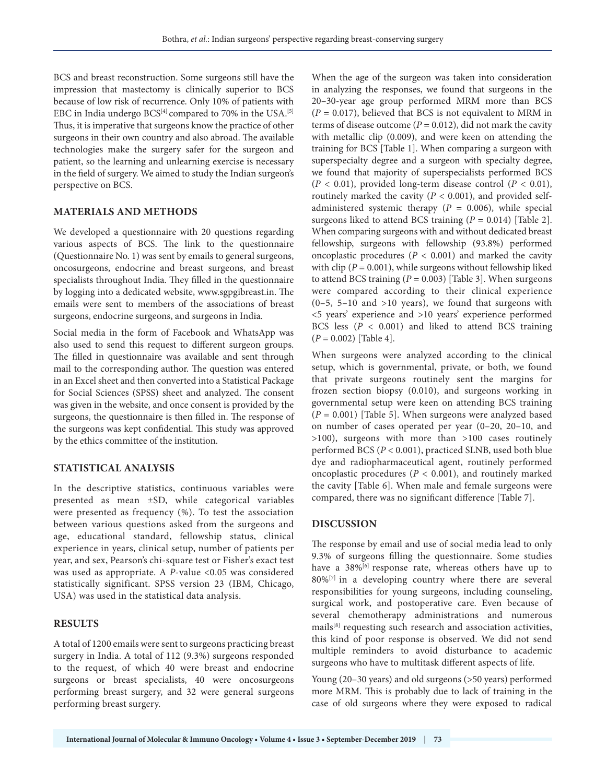BCS and breast reconstruction. Some surgeons still have the impression that mastectomy is clinically superior to BCS because of low risk of recurrence. Only 10% of patients with EBC in India undergo  $BCS^{[4]}$  compared to 70% in the USA.<sup>[5]</sup> Thus, it is imperative that surgeons know the practice of other surgeons in their own country and also abroad. The available technologies make the surgery safer for the surgeon and patient, so the learning and unlearning exercise is necessary in the field of surgery. We aimed to study the Indian surgeon's perspective on BCS.

## **MATERIALS AND METHODS**

We developed a questionnaire with 20 questions regarding various aspects of BCS. The link to the questionnaire (Questionnaire No. 1) was sent by emails to general surgeons, oncosurgeons, endocrine and breast surgeons, and breast specialists throughout India. They filled in the questionnaire by logging into a dedicated website, www.sgpgibreast.in. The emails were sent to members of the associations of breast surgeons, endocrine surgeons, and surgeons in India.

Social media in the form of Facebook and WhatsApp was also used to send this request to different surgeon groups. The filled in questionnaire was available and sent through mail to the corresponding author. The question was entered in an Excel sheet and then converted into a Statistical Package for Social Sciences (SPSS) sheet and analyzed. The consent was given in the website, and once consent is provided by the surgeons, the questionnaire is then filled in. The response of the surgeons was kept confidential. This study was approved by the ethics committee of the institution.

# **STATISTICAL ANALYSIS**

In the descriptive statistics, continuous variables were presented as mean ±SD, while categorical variables were presented as frequency (%). To test the association between various questions asked from the surgeons and age, educational standard, fellowship status, clinical experience in years, clinical setup, number of patients per year, and sex, Pearson's chi-square test or Fisher's exact test was used as appropriate. A *P*-value <0.05 was considered statistically significant. SPSS version 23 (IBM, Chicago, USA) was used in the statistical data analysis.

#### **RESULTS**

A total of 1200 emails were sent to surgeons practicing breast surgery in India. A total of 112 (9.3%) surgeons responded to the request, of which 40 were breast and endocrine surgeons or breast specialists, 40 were oncosurgeons performing breast surgery, and 32 were general surgeons performing breast surgery.

When the age of the surgeon was taken into consideration in analyzing the responses, we found that surgeons in the 20–30-year age group performed MRM more than BCS (*P* = 0.017), believed that BCS is not equivalent to MRM in terms of disease outcome ( $P = 0.012$ ), did not mark the cavity with metallic clip (0.009), and were keen on attending the training for BCS [Table 1]. When comparing a surgeon with superspecialty degree and a surgeon with specialty degree, we found that majority of superspecialists performed BCS (*P* < 0.01), provided long-term disease control (*P* < 0.01), routinely marked the cavity ( $P < 0.001$ ), and provided selfadministered systemic therapy  $(P = 0.006)$ , while special surgeons liked to attend BCS training (*P* = 0.014) [Table 2]. When comparing surgeons with and without dedicated breast fellowship, surgeons with fellowship (93.8%) performed oncoplastic procedures (*P* < 0.001) and marked the cavity with clip ( $P = 0.001$ ), while surgeons without fellowship liked to attend BCS training (*P* = 0.003) [Table 3]. When surgeons were compared according to their clinical experience  $(0-5, 5-10,$  and  $>10$  years), we found that surgeons with <5 years' experience and >10 years' experience performed BCS less (*P* < 0.001) and liked to attend BCS training (*P* = 0.002) [Table 4].

When surgeons were analyzed according to the clinical setup, which is governmental, private, or both, we found that private surgeons routinely sent the margins for frozen section biopsy (0.010), and surgeons working in governmental setup were keen on attending BCS training  $(P = 0.001)$  [Table 5]. When surgeons were analyzed based on number of cases operated per year (0–20, 20–10, and >100), surgeons with more than >100 cases routinely performed BCS (*P* < 0.001), practiced SLNB, used both blue dye and radiopharmaceutical agent, routinely performed oncoplastic procedures (*P* < 0.001), and routinely marked the cavity [Table 6]. When male and female surgeons were compared, there was no significant difference [Table 7].

#### **DISCUSSION**

The response by email and use of social media lead to only 9.3% of surgeons filling the questionnaire. Some studies have a 38%<sup>[6]</sup> response rate, whereas others have up to  $80\%$ <sup>[7]</sup> in a developing country where there are several responsibilities for young surgeons, including counseling, surgical work, and postoperative care. Even because of several chemotherapy administrations and numerous mails[8] requesting such research and association activities, this kind of poor response is observed. We did not send multiple reminders to avoid disturbance to academic surgeons who have to multitask different aspects of life.

Young (20–30 years) and old surgeons (>50 years) performed more MRM. This is probably due to lack of training in the case of old surgeons where they were exposed to radical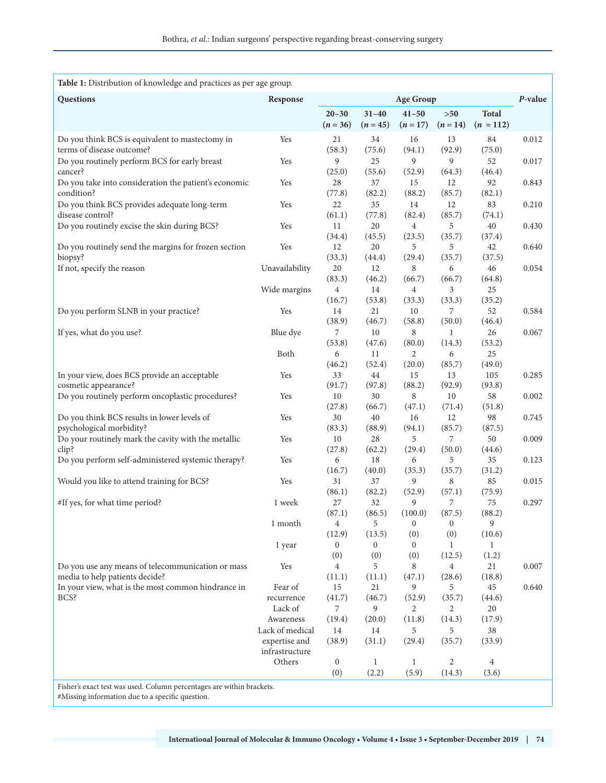| Table 1: Distribution of knowledge and practices as per age group.                                                          |                                  |                  |              |                  |              |              |         |
|-----------------------------------------------------------------------------------------------------------------------------|----------------------------------|------------------|--------------|------------------|--------------|--------------|---------|
| Questions                                                                                                                   | Response                         |                  |              | <b>Age Group</b> |              |              | P-value |
|                                                                                                                             |                                  | $20 - 30$        | $31 - 40$    | $41 - 50$        | $>50$        | <b>Total</b> |         |
|                                                                                                                             |                                  | $(n = 36)$       | $(n = 45)$   | $(n=17)$         | $(n=14)$     | $(n = 112)$  |         |
| Do you think BCS is equivalent to mastectomy in                                                                             | Yes                              | 21               | 34           | 16               | 13           | 84           | 0.012   |
| terms of disease outcome?                                                                                                   |                                  | (58.3)           | (75.6)       | (94.1)           | (92.9)       | (75.0)       |         |
| Do you routinely perform BCS for early breast<br>cancer?                                                                    | Yes                              | 9<br>(25.0)      | 25<br>(55.6) | 9<br>(52.9)      | 9<br>(64.3)  | 52<br>(46.4) | 0.017   |
| Do you take into consideration the patient's economic                                                                       | Yes                              | 28               | 37           | 15               | 12           | 92           | 0.843   |
| condition?                                                                                                                  |                                  | (77.8)           | (82.2)       | (88.2)           | (85.7)       | (82.1)       |         |
| Do you think BCS provides adequate long-term                                                                                | Yes                              | 22               | 35           | 14               | 12           | 83           | 0.210   |
| disease control?                                                                                                            |                                  | (61.1)           | (77.8)       | (82.4)           | (85.7)       | (74.1)       |         |
| Do you routinely excise the skin during BCS?                                                                                | Yes                              | 11               | 20           | 4                | 5            | 40           | 0.430   |
| Do you routinely send the margins for frozen section                                                                        | Yes                              | (34.4)<br>12     | (45.5)<br>20 | (23.5)<br>5      | (35.7)<br>5  | (37.4)<br>42 | 0.640   |
| biopsy?                                                                                                                     |                                  | (33.3)           | (44.4)       | (29.4)           | (35.7)       | (37.5)       |         |
| If not, specify the reason                                                                                                  | Unavailability                   | 20               | 12           | 8                | 6            | 46           | 0.054   |
|                                                                                                                             |                                  | (83.3)           | (46.2)       | (66.7)           | (66.7)       | (64.8)       |         |
|                                                                                                                             | Wide margins                     | $\overline{4}$   | 14           | $\overline{4}$   | 3            | 25           |         |
|                                                                                                                             |                                  | (16.7)           | (53.8)       | (33.3)           | (33.3)       | (35.2)       |         |
| Do you perform SLNB in your practice?                                                                                       | Yes                              | 14<br>(38.9)     | 21<br>(46.7) | 10<br>(58.8)     | 7<br>(50.0)  | 52<br>(46.4) | 0.584   |
| If yes, what do you use?                                                                                                    | Blue dye                         | 7                | 10           | 8                | 1            | 26           | 0.067   |
|                                                                                                                             |                                  | (53.8)           | (47.6)       | (80.0)           | (14.3)       | (53.2)       |         |
|                                                                                                                             | Both                             | 6                | 11           | 2                | 6            | 25           |         |
|                                                                                                                             |                                  | (46.2)           | (52.4)       | (20.0)           | (85.7)       | (49.0)       |         |
| In your view, does BCS provide an acceptable                                                                                | Yes                              | 33               | 44           | 15               | 13           | 105          | 0.285   |
| cosmetic appearance?                                                                                                        |                                  | (91.7)           | (97.8)       | (88.2)           | (92.9)       | (93.8)       |         |
| Do you routinely perform oncoplastic procedures?                                                                            | Yes                              | 10<br>(27.8)     | 30<br>(66.7) | 8<br>(47.1)      | 10<br>(71.4) | 58<br>(51.8) | 0.002   |
| Do you think BCS results in lower levels of                                                                                 | Yes                              | 30               | 40           | 16               | 12           | 98           | 0.745   |
| psychological morbidity?                                                                                                    |                                  | (83.3)           | (88.9)       | (94.1)           | (85.7)       | (87.5)       |         |
| Do your routinely mark the cavity with the metallic                                                                         | Yes                              | 10               | $28\,$       | 5                | 7            | 50           | 0.009   |
| clip?                                                                                                                       |                                  | (27.8)           | (62.2)       | (29.4)           | (50.0)       | (44.6)       |         |
| Do you perform self-administered systemic therapy?                                                                          | Yes                              | 6                | 18           | 6                | 5            | 35           | 0.123   |
|                                                                                                                             |                                  | (16.7)           | (40.0)       | (35.3)           | (35.7)       | (31.2)       |         |
| Would you like to attend training for BCS?                                                                                  | Yes                              | 31<br>(86.1)     | 37<br>(82.2) | 9<br>(52.9)      | 8<br>(57.1)  | 85<br>(75.9) | 0.015   |
| #If yes, for what time period?                                                                                              | 1 week                           | 27               | 32           | 9                | 7            | 75           | 0.297   |
|                                                                                                                             |                                  | (87.1)           | (86.5)       | (100.0)          | (87.5)       | (88.2)       |         |
|                                                                                                                             | 1 month                          | $\overline{4}$   | 5            | $\mathbf{0}$     | $\mathbf{0}$ | 9            |         |
|                                                                                                                             |                                  | (12.9)           | (13.5)       | (0)              | (0)          | (10.6)       |         |
|                                                                                                                             | 1 year                           | $\mathbf{0}$     | $\mathbf{0}$ | $\mathbf{0}$     | 1            | 1            |         |
| Do you use any means of telecommunication or mass                                                                           | Yes                              | (0)<br>4         | (0)<br>5     | (0)<br>8         | (12.5)<br>4  | (1.2)<br>21  | 0.007   |
| media to help patients decide?                                                                                              |                                  | (11.1)           | (11.1)       | (47.1)           | (28.6)       | (18.8)       |         |
| In your view, what is the most common hindrance in                                                                          | Fear of                          | 15               | 21           | 9                | 5            | 45           | 0.640   |
| BCS?                                                                                                                        | recurrence                       | (41.7)           | (46.7)       | (52.9)           | (35.7)       | (44.6)       |         |
|                                                                                                                             | Lack of                          | 7                | 9            | 2                | 2            | 20           |         |
|                                                                                                                             | Awareness                        | (19.4)           | (20.0)       | (11.8)           | (14.3)       | (17.9)       |         |
|                                                                                                                             | Lack of medical<br>expertise and | 14<br>(38.9)     | 14<br>(31.1) | 5<br>(29.4)      | 5<br>(35.7)  | 38<br>(33.9) |         |
|                                                                                                                             | infrastructure                   |                  |              |                  |              |              |         |
|                                                                                                                             | Others                           | $\boldsymbol{0}$ | $\mathbf{1}$ | 1                | 2            | 4            |         |
|                                                                                                                             |                                  | (0)              | (2.2)        | (5.9)            | (14.3)       | (3.6)        |         |
| Fisher's exact test was used. Column percentages are within brackets.<br>$#$ Missing information due to a specific question |                                  |                  |              |                  |              |              |         |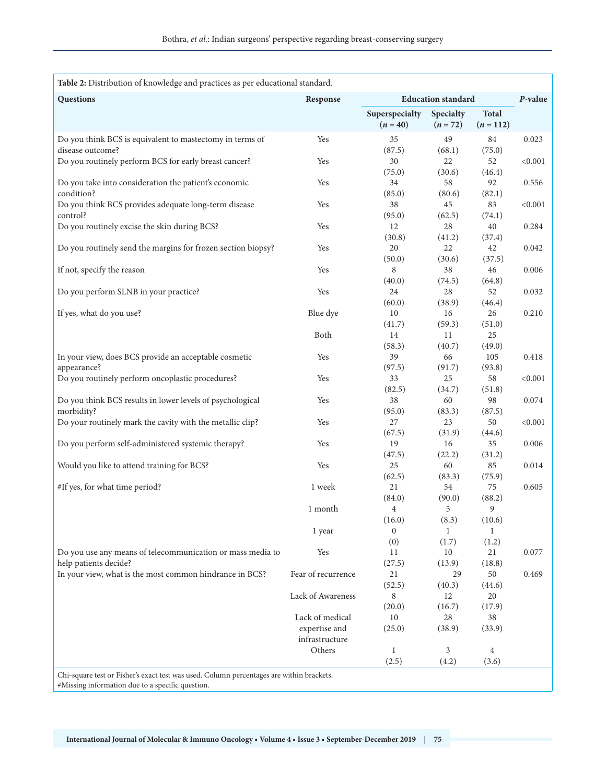| Table 2: Distribution of knowledge and practices as per educational standard.                                                                |                    |                              |                           |                           |              |
|----------------------------------------------------------------------------------------------------------------------------------------------|--------------------|------------------------------|---------------------------|---------------------------|--------------|
| Questions                                                                                                                                    | Response           |                              | <b>Education</b> standard |                           |              |
|                                                                                                                                              |                    | Superspecialty<br>$(n = 40)$ | Specialty<br>$(n = 72)$   | <b>Total</b><br>$(n=112)$ |              |
| Do you think BCS is equivalent to mastectomy in terms of                                                                                     | Yes                | 35                           | 49                        | 84                        | 0.023        |
| disease outcome?<br>Do you routinely perform BCS for early breast cancer?                                                                    | Yes                | (87.5)<br>30                 | (68.1)<br>22              | (75.0)<br>52              | < 0.001      |
| Do you take into consideration the patient's economic                                                                                        | Yes                | (75.0)<br>34                 | (30.6)<br>58              | (46.4)<br>92              | 0.556        |
| condition?                                                                                                                                   |                    | (85.0)                       | (80.6)                    | (82.1)                    |              |
| Do you think BCS provides adequate long-term disease<br>control?                                                                             | Yes                | 38<br>(95.0)                 | 45<br>(62.5)              | 83<br>(74.1)              | < 0.001      |
| Do you routinely excise the skin during BCS?                                                                                                 | Yes                | 12                           | 28                        | 40                        | 0.284        |
| Do you routinely send the margins for frozen section biopsy?                                                                                 | Yes                | (30.8)<br>20                 | (41.2)<br>22              | (37.4)<br>42              | 0.042        |
|                                                                                                                                              |                    | (50.0)                       | (30.6)                    | (37.5)                    |              |
| If not, specify the reason                                                                                                                   | Yes                | 8<br>(40.0)                  | 38<br>(74.5)              | 46<br>(64.8)              | 0.006        |
| Do you perform SLNB in your practice?                                                                                                        | Yes                | 24                           | 28                        | 52                        | 0.032        |
|                                                                                                                                              |                    | (60.0)                       | (38.9)                    | (46.4)                    |              |
| If yes, what do you use?                                                                                                                     | Blue dye           | 10                           | 16                        | 26                        | 0.210        |
|                                                                                                                                              |                    | (41.7)                       | (59.3)                    | (51.0)                    |              |
|                                                                                                                                              | Both               | 14                           | 11                        | 25                        |              |
|                                                                                                                                              |                    | (58.3)                       | (40.7)                    | (49.0)                    |              |
| In your view, does BCS provide an acceptable cosmetic                                                                                        | Yes                | 39                           | 66                        | 105                       | 0.418        |
| appearance?                                                                                                                                  |                    | (97.5)                       | (91.7)                    | (93.8)                    |              |
| Do you routinely perform oncoplastic procedures?                                                                                             | Yes                | 33                           | 25                        | 58                        | $<\!\!0.001$ |
|                                                                                                                                              |                    | (82.5)                       | (34.7)                    | (51.8)                    |              |
| Do you think BCS results in lower levels of psychological                                                                                    | Yes                | 38                           | 60                        | 98                        | 0.074        |
| morbidity?                                                                                                                                   |                    | (95.0)                       | (83.3)<br>23              | (87.5)                    |              |
| Do your routinely mark the cavity with the metallic clip?                                                                                    | Yes                | 27<br>(67.5)                 | (31.9)                    | 50<br>(44.6)              | < 0.001      |
| Do you perform self-administered systemic therapy?                                                                                           | Yes                | 19                           | 16                        | 35                        | 0.006        |
|                                                                                                                                              |                    | (47.5)                       | (22.2)                    | (31.2)                    |              |
| Would you like to attend training for BCS?                                                                                                   | Yes                | 25                           | 60                        | 85                        | 0.014        |
|                                                                                                                                              |                    | (62.5)                       | (83.3)                    | (75.9)                    |              |
| #If yes, for what time period?                                                                                                               | 1 week             | 21                           | 54                        | 75                        | 0.605        |
|                                                                                                                                              |                    | (84.0)                       | (90.0)                    | (88.2)                    |              |
|                                                                                                                                              | 1 month            | $\overline{4}$               | 5                         | 9                         |              |
|                                                                                                                                              |                    | (16.0)                       | (8.3)                     | (10.6)                    |              |
|                                                                                                                                              | 1 year             | $\overline{0}$               | $\mathbf{1}$              | $\mathbf{1}$              |              |
|                                                                                                                                              |                    | (0)                          | (1.7)                     | (1.2)                     |              |
| Do you use any means of telecommunication or mass media to                                                                                   | Yes                | 11                           | 10                        | 21                        | 0.077        |
| help patients decide?                                                                                                                        |                    | (27.5)                       | (13.9)                    | (18.8)                    |              |
| In your view, what is the most common hindrance in BCS?                                                                                      | Fear of recurrence | 21                           | 29                        | 50                        | 0.469        |
|                                                                                                                                              |                    | (52.5)                       | (40.3)                    | (44.6)                    |              |
|                                                                                                                                              | Lack of Awareness  | 8                            | 12                        | 20                        |              |
|                                                                                                                                              |                    | (20.0)                       | (16.7)                    | (17.9)                    |              |
|                                                                                                                                              | Lack of medical    | 10                           | 28                        | 38                        |              |
|                                                                                                                                              | expertise and      | (25.0)                       | (38.9)                    | (33.9)                    |              |
|                                                                                                                                              | infrastructure     |                              |                           |                           |              |
|                                                                                                                                              | Others             | $\mathbf{1}$<br>(2.5)        | 3<br>(4.2)                | $\overline{4}$<br>(3.6)   |              |
|                                                                                                                                              |                    |                              |                           |                           |              |
| Chi-square test or Fisher's exact test was used. Column percentages are within brackets.<br>#Missing information due to a specific question. |                    |                              |                           |                           |              |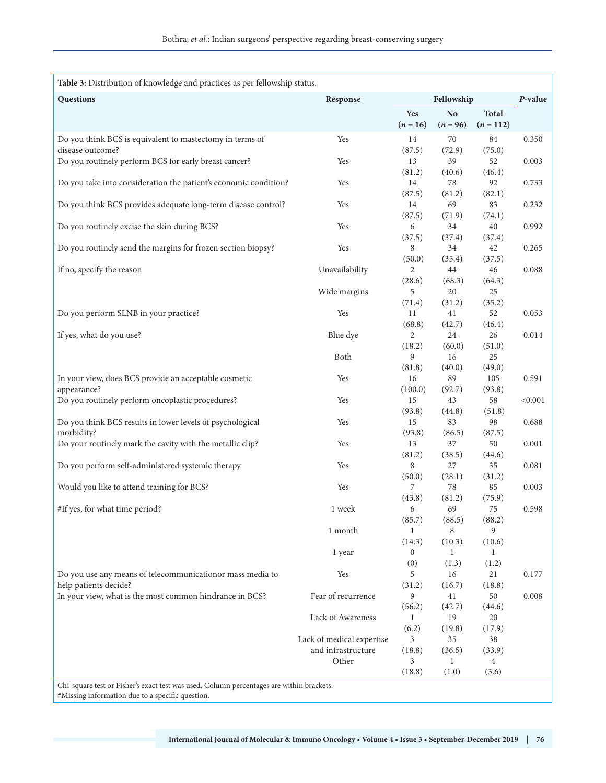| Table 3: Distribution of knowledge and practices as per fellowship status.                                                                   |                             |                          |                              |                           |         |
|----------------------------------------------------------------------------------------------------------------------------------------------|-----------------------------|--------------------------|------------------------------|---------------------------|---------|
| Questions                                                                                                                                    | Response                    | Fellowship               |                              | P-value                   |         |
|                                                                                                                                              |                             | Yes<br>$(n = 16)$        | N <sub>o</sub><br>$(n = 96)$ | <b>Total</b><br>$(n=112)$ |         |
| Do you think BCS is equivalent to mastectomy in terms of<br>disease outcome?                                                                 | Yes                         | 14<br>(87.5)             | 70<br>(72.9)                 | 84<br>(75.0)              | 0.350   |
| Do you routinely perform BCS for early breast cancer?                                                                                        | Yes                         | 13                       | 39                           | 52                        | 0.003   |
| Do you take into consideration the patient's economic condition?                                                                             | Yes                         | (81.2)<br>14             | (40.6)<br>78                 | (46.4)<br>92              | 0.733   |
| Do you think BCS provides adequate long-term disease control?                                                                                | Yes                         | (87.5)<br>14             | (81.2)<br>69                 | (82.1)<br>83              | 0.232   |
| Do you routinely excise the skin during BCS?                                                                                                 | Yes                         | (87.5)<br>6              | (71.9)<br>34                 | (74.1)<br>40              | 0.992   |
|                                                                                                                                              |                             | (37.5)                   | (37.4)                       | (37.4)                    |         |
| Do you routinely send the margins for frozen section biopsy?                                                                                 | Yes                         | 8<br>(50.0)              | 34<br>(35.4)                 | 42<br>(37.5)              | 0.265   |
| If no, specify the reason                                                                                                                    | Unavailability              | 2<br>(28.6)              | 44<br>(68.3)                 | 46<br>(64.3)              | 0.088   |
|                                                                                                                                              | Wide margins                | 5                        | 20                           | 25                        |         |
| Do you perform SLNB in your practice?                                                                                                        | Yes                         | (71.4)<br>11             | (31.2)<br>41                 | (35.2)<br>52              | 0.053   |
| If yes, what do you use?                                                                                                                     | Blue dye                    | (68.8)<br>2              | (42.7)<br>24                 | (46.4)<br>26              | 0.014   |
|                                                                                                                                              | Both                        | (18.2)<br>9              | (60.0)<br>16                 | (51.0)<br>25              |         |
| In your view, does BCS provide an acceptable cosmetic                                                                                        | Yes                         | (81.8)<br>16             | (40.0)<br>89                 | (49.0)<br>105             | 0.591   |
| appearance?                                                                                                                                  | Yes                         | (100.0)<br>15            | (92.7)<br>43                 | (93.8)<br>58              | < 0.001 |
| Do you routinely perform oncoplastic procedures?                                                                                             |                             | (93.8)                   | (44.8)                       | (51.8)                    |         |
| Do you think BCS results in lower levels of psychological<br>morbidity?                                                                      | Yes                         | 15<br>(93.8)             | 83<br>(86.5)                 | 98<br>(87.5)              | 0.688   |
| Do your routinely mark the cavity with the metallic clip?                                                                                    | Yes                         | 13<br>(81.2)             | 37<br>(38.5)                 | 50<br>(44.6)              | 0.001   |
| Do you perform self-administered systemic therapy                                                                                            | Yes                         | $\,8\,$                  | 27                           | 35                        | 0.081   |
| Would you like to attend training for BCS?                                                                                                   | Yes                         | (50.0)<br>7              | (28.1)<br>78                 | (31.2)<br>85              | 0.003   |
| #If yes, for what time period?                                                                                                               | 1 week                      | (43.8)<br>6              | (81.2)<br>69                 | (75.9)<br>75              | 0.598   |
|                                                                                                                                              | 1 month                     | (85.7)<br>$\mathbf{1}$   | (88.5)<br>8                  | (88.2)<br>9               |         |
|                                                                                                                                              | 1 year                      | (14.3)<br>$\overline{0}$ | (10.3)<br>1                  | (10.6)<br>$\mathbf{1}$    |         |
|                                                                                                                                              |                             | (0)                      | (1.3)                        | (1.2)                     |         |
| Do you use any means of telecommunicationor mass media to<br>help patients decide?                                                           | Yes                         | 5<br>(31.2)              | 16<br>(16.7)                 | 21<br>(18.8)              | 0.177   |
| In your view, what is the most common hindrance in BCS?                                                                                      | Fear of recurrence          | 9<br>(56.2)              | 41<br>(42.7)                 | 50<br>(44.6)              | 0.008   |
|                                                                                                                                              | Lack of Awareness           | $\mathbf{1}$<br>(6.2)    | 19                           | 20                        |         |
|                                                                                                                                              | Lack of medical expertise   | 3                        | (19.8)<br>35                 | (17.9)<br>38              |         |
|                                                                                                                                              | and infrastructure<br>Other | (18.8)<br>3              | (36.5)<br>1                  | (33.9)<br>4               |         |
|                                                                                                                                              |                             | (18.8)                   | (1.0)                        | (3.6)                     |         |
| Chi-square test or Fisher's exact test was used. Column percentages are within brackets.<br>#Missing information due to a specific question. |                             |                          |                              |                           |         |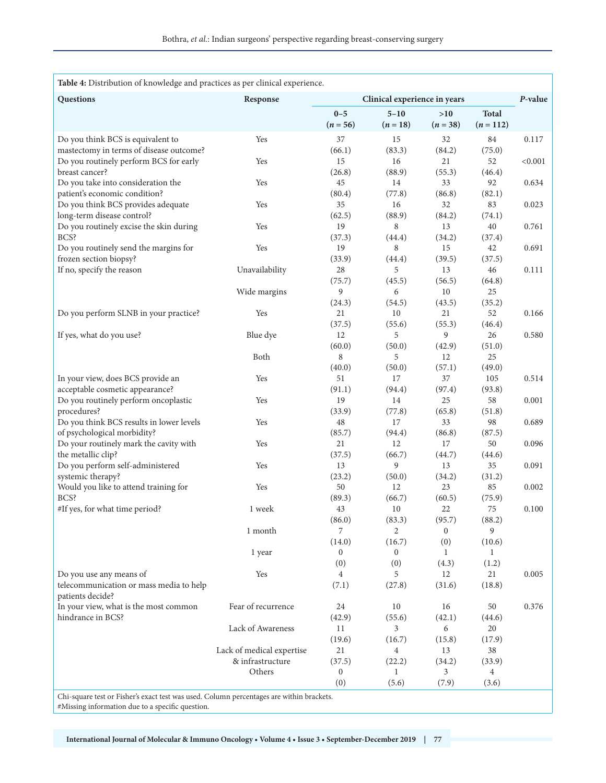| Table 4: Distribution of knowledge and practices as per clinical experience.             |                                               |                              |                        |                   |                           |         |  |
|------------------------------------------------------------------------------------------|-----------------------------------------------|------------------------------|------------------------|-------------------|---------------------------|---------|--|
| Questions                                                                                | Response                                      | Clinical experience in years |                        |                   | P-value                   |         |  |
|                                                                                          |                                               | $0 - 5$<br>$(n = 56)$        | $5 - 10$<br>$(n = 18)$ | >10<br>$(n = 38)$ | <b>Total</b><br>$(n=112)$ |         |  |
| Do you think BCS is equivalent to                                                        | Yes                                           | 37                           | 15                     | 32                | 84                        | 0.117   |  |
| mastectomy in terms of disease outcome?                                                  |                                               | (66.1)                       | (83.3)                 | (84.2)            | (75.0)                    |         |  |
| Do you routinely perform BCS for early                                                   | Yes                                           | 15                           | 16                     | 21                | 52                        | < 0.001 |  |
| breast cancer?                                                                           |                                               | (26.8)                       | (88.9)                 | (55.3)            | (46.4)                    |         |  |
| Do you take into consideration the                                                       | Yes                                           | 45                           | 14                     | 33                | 92                        | 0.634   |  |
| patient's economic condition?<br>Do you think BCS provides adequate                      | Yes                                           | (80.4)<br>35                 | (77.8)<br>16           | (86.8)<br>32      | (82.1)<br>83              | 0.023   |  |
| long-term disease control?                                                               |                                               | (62.5)                       | (88.9)                 | (84.2)            | (74.1)                    |         |  |
| Do you routinely excise the skin during                                                  | Yes                                           | 19                           | 8                      | 13                | 40                        | 0.761   |  |
| BCS?                                                                                     |                                               | (37.3)                       | (44.4)                 | (34.2)            | (37.4)                    |         |  |
| Do you routinely send the margins for                                                    | Yes                                           | 19                           | 8                      | 15                | 42                        | 0.691   |  |
| frozen section biopsy?                                                                   |                                               | (33.9)                       | (44.4)                 | (39.5)            | (37.5)                    |         |  |
| If no, specify the reason                                                                | Unavailability                                | 28                           | 5                      | 13                | 46                        | 0.111   |  |
|                                                                                          |                                               | (75.7)                       | (45.5)                 | (56.5)            | (64.8)                    |         |  |
|                                                                                          | Wide margins                                  | 9                            | 6                      | 10                | 25                        |         |  |
|                                                                                          |                                               | (24.3)                       | (54.5)                 | (43.5)            | (35.2)                    |         |  |
| Do you perform SLNB in your practice?                                                    | Yes                                           | 21                           | 10                     | 21                | 52                        | 0.166   |  |
|                                                                                          |                                               | (37.5)<br>12                 | (55.6)<br>5            | (55.3)<br>9       | (46.4)<br>26              |         |  |
| If yes, what do you use?                                                                 | Blue dye                                      | (60.0)                       | (50.0)                 | (42.9)            | (51.0)                    | 0.580   |  |
|                                                                                          | Both                                          | 8                            | 5                      | 12                | 25                        |         |  |
|                                                                                          |                                               | (40.0)                       | (50.0)                 | (57.1)            | (49.0)                    |         |  |
| In your view, does BCS provide an                                                        | Yes                                           | 51                           | 17                     | 37                | 105                       | 0.514   |  |
| acceptable cosmetic appearance?                                                          |                                               | (91.1)                       | (94.4)                 | (97.4)            | (93.8)                    |         |  |
| Do you routinely perform oncoplastic                                                     | Yes                                           | 19                           | 14                     | 25                | 58                        | 0.001   |  |
| procedures?                                                                              |                                               | (33.9)                       | (77.8)                 | (65.8)            | (51.8)                    |         |  |
| Do you think BCS results in lower levels                                                 | Yes                                           | 48                           | 17                     | 33                | 98                        | 0.689   |  |
| of psychological morbidity?                                                              |                                               | (85.7)                       | (94.4)                 | (86.8)            | (87.5)                    |         |  |
| Do your routinely mark the cavity with                                                   | Yes                                           | 21                           | 12                     | 17                | 50                        | 0.096   |  |
| the metallic clip?                                                                       |                                               | (37.5)                       | (66.7)                 | (44.7)            | (44.6)                    |         |  |
| Do you perform self-administered                                                         | Yes                                           | 13<br>(23.2)                 | 9<br>(50.0)            | 13                | 35                        | 0.091   |  |
| systemic therapy?<br>Would you like to attend training for                               | Yes                                           | 50                           | 12                     | (34.2)<br>23      | (31.2)<br>85              | 0.002   |  |
| BCS?                                                                                     |                                               | (89.3)                       | (66.7)                 | (60.5)            | (75.9)                    |         |  |
| #If yes, for what time period?                                                           | 1 week                                        | 43                           | 10                     | 22                | 75                        | 0.100   |  |
|                                                                                          |                                               | (86.0)                       | (83.3)                 | (95.7)            | (88.2)                    |         |  |
|                                                                                          | 1 month                                       | 7                            | $\overline{2}$         | $\overline{0}$    | 9                         |         |  |
|                                                                                          |                                               | (14.0)                       | (16.7)                 | (0)               | (10.6)                    |         |  |
|                                                                                          | 1 year                                        | $\bf{0}$                     | 0                      | 1                 | 1                         |         |  |
|                                                                                          |                                               | (0)                          | (0)                    | (4.3)             | (1.2)                     |         |  |
| Do you use any means of                                                                  | Yes                                           | $\overline{4}$               | 5                      | 12                | 21                        | 0.005   |  |
| telecommunication or mass media to help<br>patients decide?                              |                                               | (7.1)                        | (27.8)                 | (31.6)            | (18.8)                    |         |  |
| In your view, what is the most common                                                    | Fear of recurrence                            | 24                           | 10                     | 16                | 50                        | 0.376   |  |
| hindrance in BCS?                                                                        |                                               | (42.9)                       | (55.6)                 | (42.1)            | (44.6)                    |         |  |
|                                                                                          | Lack of Awareness                             | 11                           | 3                      | 6                 | 20                        |         |  |
|                                                                                          |                                               | (19.6)                       | (16.7)                 | (15.8)            | (17.9)                    |         |  |
|                                                                                          | Lack of medical expertise<br>& infrastructure | 21                           | $\overline{4}$         | 13                | 38                        |         |  |
|                                                                                          | Others                                        | (37.5)<br>$\boldsymbol{0}$   | (22.2)<br>$\mathbf{1}$ | (34.2)<br>3       | (33.9)<br>4               |         |  |
|                                                                                          |                                               | (0)                          | (5.6)                  | (7.9)             | (3.6)                     |         |  |
| Chi-square test or Fisher's exact test was used. Column percentages are within brackets. |                                               |                              |                        |                   |                           |         |  |
|                                                                                          |                                               |                              |                        |                   |                           |         |  |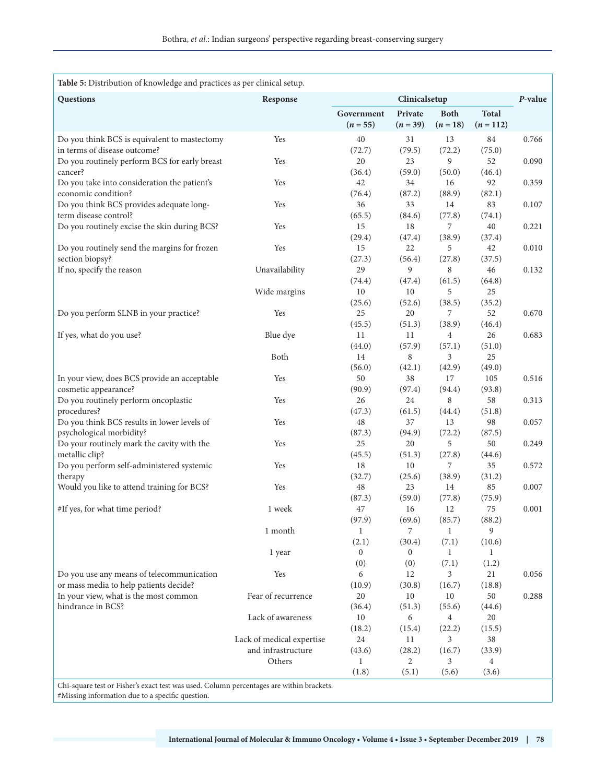| Table 5: Distribution of knowledge and practices as per clinical setup.                  |                                                 |                          |                         |                           |                             |       |  |
|------------------------------------------------------------------------------------------|-------------------------------------------------|--------------------------|-------------------------|---------------------------|-----------------------------|-------|--|
| Questions                                                                                | Response                                        | Clinicalsetup            |                         |                           | $P$ -value                  |       |  |
|                                                                                          |                                                 | Government<br>$(n = 55)$ | Private<br>$(n = 39)$   | <b>Both</b><br>$(n = 18)$ | <b>Total</b><br>$(n = 112)$ |       |  |
| Do you think BCS is equivalent to mastectomy<br>in terms of disease outcome?             | Yes                                             | 40<br>(72.7)             | 31<br>(79.5)            | 13<br>(72.2)              | 84<br>(75.0)                | 0.766 |  |
| Do you routinely perform BCS for early breast<br>cancer?                                 | Yes                                             | 20<br>(36.4)             | 23<br>(59.0)            | 9<br>(50.0)               | 52<br>(46.4)                | 0.090 |  |
| Do you take into consideration the patient's<br>economic condition?                      | Yes                                             | 42<br>(76.4)             | 34<br>(87.2)            | 16<br>(88.9)              | 92<br>(82.1)                | 0.359 |  |
| Do you think BCS provides adequate long-<br>term disease control?                        | Yes                                             | 36<br>(65.5)             | 33<br>(84.6)            | 14<br>(77.8)              | 83<br>(74.1)                | 0.107 |  |
| Do you routinely excise the skin during BCS?                                             | Yes                                             | 15<br>(29.4)             | 18<br>(47.4)            | 7<br>(38.9)               | 40<br>(37.4)                | 0.221 |  |
| Do you routinely send the margins for frozen<br>section biopsy?                          | Yes                                             | 15<br>(27.3)             | 22<br>(56.4)            | 5<br>(27.8)               | 42<br>(37.5)                | 0.010 |  |
| If no, specify the reason                                                                | Unavailability                                  | 29<br>(74.4)             | 9<br>(47.4)             | 8<br>(61.5)               | 46<br>(64.8)                | 0.132 |  |
|                                                                                          | Wide margins                                    | 10                       | 10                      | 5                         | 25                          |       |  |
| Do you perform SLNB in your practice?                                                    | Yes                                             | (25.6)<br>25<br>(45.5)   | (52.6)<br>20<br>(51.3)  | (38.5)<br>7<br>(38.9)     | (35.2)<br>52<br>(46.4)      | 0.670 |  |
| If yes, what do you use?                                                                 | Blue dye                                        | 11<br>(44.0)             | 11<br>(57.9)            | $\overline{4}$<br>(57.1)  | 26<br>(51.0)                | 0.683 |  |
|                                                                                          | Both                                            | 14<br>(56.0)             | 8<br>(42.1)             | 3<br>(42.9)               | 25<br>(49.0)                |       |  |
| In your view, does BCS provide an acceptable<br>cosmetic appearance?                     | Yes                                             | 50<br>(90.9)             | 38<br>(97.4)            | 17<br>(94.4)              | 105<br>(93.8)               | 0.516 |  |
| Do you routinely perform oncoplastic<br>procedures?                                      | Yes                                             | 26<br>(47.3)             | 24<br>(61.5)            | 8<br>(44.4)               | 58<br>(51.8)                | 0.313 |  |
| Do you think BCS results in lower levels of<br>psychological morbidity?                  | Yes                                             | 48<br>(87.3)             | 37<br>(94.9)            | 13<br>(72.2)              | 98<br>(87.5)                | 0.057 |  |
| Do your routinely mark the cavity with the<br>metallic clip?                             | Yes                                             | 25<br>(45.5)             | 20<br>(51.3)            | 5<br>(27.8)               | 50<br>(44.6)                | 0.249 |  |
| Do you perform self-administered systemic<br>therapy                                     | Yes                                             | 18<br>(32.7)             | 10<br>(25.6)            | 7<br>(38.9)               | 35<br>(31.2)                | 0.572 |  |
| Would you like to attend training for BCS?                                               | Yes                                             | 48<br>(87.3)             | 23<br>(59.0)            | 14<br>(77.8)              | 85<br>(75.9)                | 0.007 |  |
| #If yes, for what time period?                                                           | 1 week                                          | 47<br>(97.9)             | 16<br>(69.6)            | 12<br>(85.7)              | 75<br>(88.2)                | 0.001 |  |
|                                                                                          | 1 month                                         | $\mathbf{1}$<br>(2.1)    | 7<br>(30.4)             | $\mathbf{1}$<br>(7.1)     | 9<br>(10.6)                 |       |  |
|                                                                                          | 1 year                                          | $\overline{0}$<br>(0)    | $\boldsymbol{0}$<br>(0) | $\mathbf{1}$<br>(7.1)     | $\mathbf{1}$<br>(1.2)       |       |  |
| Do you use any means of telecommunication<br>or mass media to help patients decide?      | Yes                                             | 6<br>(10.9)              | 12<br>(30.8)            | 3<br>(16.7)               | 21<br>(18.8)                | 0.056 |  |
| In your view, what is the most common<br>hindrance in BCS?                               | Fear of recurrence                              | 20<br>(36.4)             | 10<br>(51.3)            | 10<br>(55.6)              | 50<br>(44.6)                | 0.288 |  |
|                                                                                          | Lack of awareness                               | 10<br>(18.2)             | 6<br>(15.4)             | 4<br>(22.2)               | 20<br>(15.5)                |       |  |
|                                                                                          | Lack of medical expertise<br>and infrastructure | 24<br>(43.6)             | 11<br>(28.2)            | 3<br>(16.7)               | 38<br>(33.9)                |       |  |
|                                                                                          | Others                                          | $\mathbf{1}$<br>(1.8)    | 2<br>(5.1)              | 3<br>(5.6)                | $\overline{4}$<br>(3.6)     |       |  |
| Chi-square test or Fisher's exact test was used. Column percentages are within brackets. |                                                 |                          |                         |                           |                             |       |  |

Chi-square test or Fisher's exact test was used. Column percentages are within brackets. #Missing information due to a specific question.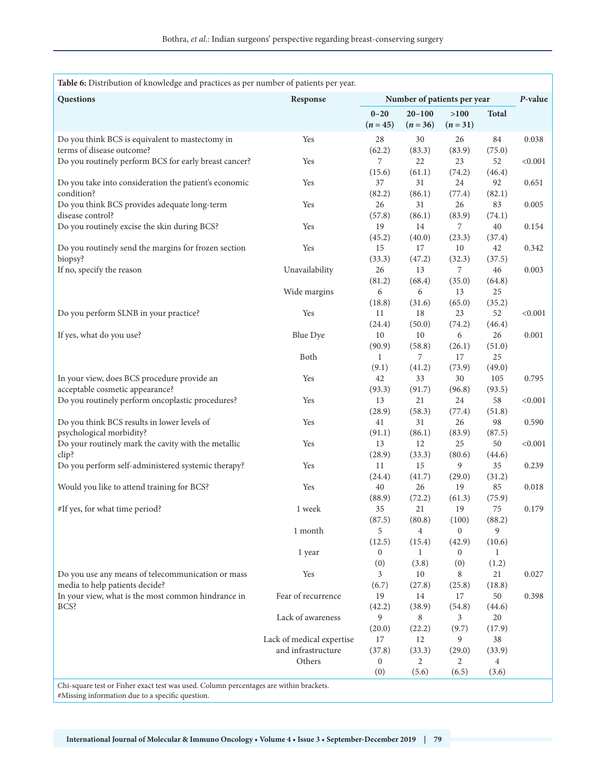| Table 6: Distribution of knowledge and practices as per number of patients per year.   |                           |                             |                          |                  |                |         |  |
|----------------------------------------------------------------------------------------|---------------------------|-----------------------------|--------------------------|------------------|----------------|---------|--|
| Questions                                                                              | Response                  | Number of patients per year |                          |                  | P-value        |         |  |
|                                                                                        |                           | $0 - 20$<br>$(n = 45)$      | $20 - 100$<br>$(n = 36)$ | >100<br>$(n=31)$ | <b>Total</b>   |         |  |
| Do you think BCS is equivalent to mastectomy in                                        | Yes                       | 28                          | $30\,$                   | 26               | 84             | 0.038   |  |
| terms of disease outcome?<br>Do you routinely perform BCS for early breast cancer?     | Yes                       | (62.2)<br>7                 | (83.3)<br>22             | (83.9)<br>23     | (75.0)<br>52   | < 0.001 |  |
|                                                                                        |                           | (15.6)                      | (61.1)                   | (74.2)           | (46.4)         |         |  |
| Do you take into consideration the patient's economic                                  | Yes                       | 37                          | 31                       | 24               | 92             | 0.651   |  |
| condition?                                                                             |                           | (82.2)                      | (86.1)                   | (77.4)           | (82.1)         |         |  |
| Do you think BCS provides adequate long-term<br>disease control?                       | Yes                       | 26<br>(57.8)                | 31<br>(86.1)             | 26<br>(83.9)     | 83<br>(74.1)   | 0.005   |  |
| Do you routinely excise the skin during BCS?                                           | Yes                       | 19                          | 14                       | 7                | 40             | 0.154   |  |
|                                                                                        |                           | (45.2)                      | (40.0)                   | (23.3)           | (37.4)         |         |  |
| Do you routinely send the margins for frozen section                                   | Yes                       | 15                          | 17                       | 10               | 42             | 0.342   |  |
| biopsy?                                                                                |                           | (33.3)                      | (47.2)                   | (32.3)           | (37.5)         |         |  |
| If no, specify the reason                                                              | Unavailability            | 26                          | 13                       | 7                | 46             | 0.003   |  |
|                                                                                        |                           | (81.2)                      | (68.4)                   | (35.0)           | (64.8)         |         |  |
|                                                                                        | Wide margins              | 6                           | 6                        | 13               | 25             |         |  |
| Do you perform SLNB in your practice?                                                  | Yes                       | (18.8)<br>11                | (31.6)<br>18             | (65.0)<br>23     | (35.2)<br>52   | < 0.001 |  |
|                                                                                        |                           | (24.4)                      | (50.0)                   | (74.2)           | (46.4)         |         |  |
| If yes, what do you use?                                                               | Blue Dye                  | 10                          | $10\,$                   | 6                | 26             | 0.001   |  |
|                                                                                        |                           | (90.9)                      | (58.8)                   | (26.1)           | (51.0)         |         |  |
|                                                                                        | Both                      | 1                           | 7                        | 17               | 25             |         |  |
|                                                                                        |                           | (9.1)                       | (41.2)                   | (73.9)           | (49.0)         |         |  |
| In your view, does BCS procedure provide an                                            | Yes                       | 42                          | 33                       | 30               | 105            | 0.795   |  |
| acceptable cosmetic appearance?                                                        |                           | (93.3)                      | (91.7)                   | (96.8)           | (93.5)         |         |  |
| Do you routinely perform oncoplastic procedures?                                       | Yes                       | 13<br>(28.9)                | 21<br>(58.3)             | 24               | 58             | < 0.001 |  |
| Do you think BCS results in lower levels of                                            | Yes                       | 41                          | 31                       | (77.4)<br>26     | (51.8)<br>98   | 0.590   |  |
| psychological morbidity?                                                               |                           | (91.1)                      | (86.1)                   | (83.9)           | (87.5)         |         |  |
| Do your routinely mark the cavity with the metallic                                    | Yes                       | 13                          | 12                       | 25               | 50             | < 0.001 |  |
| clip?                                                                                  |                           | (28.9)                      | (33.3)                   | (80.6)           | (44.6)         |         |  |
| Do you perform self-administered systemic therapy?                                     | Yes                       | 11                          | 15                       | 9                | 35             | 0.239   |  |
|                                                                                        |                           | (24.4)                      | (41.7)                   | (29.0)           | (31.2)         |         |  |
| Would you like to attend training for BCS?                                             | Yes                       | 40                          | 26                       | 19               | 85             | 0.018   |  |
|                                                                                        |                           | (88.9)<br>35                | (72.2)<br>21             | (61.3)           | (75.9)<br>75   |         |  |
| #If yes, for what time period?                                                         | 1 week                    | (87.5)                      | (80.8)                   | 19<br>(100)      | (88.2)         | 0.179   |  |
|                                                                                        | 1 month                   | 5                           | 4                        | $\overline{0}$   | 9              |         |  |
|                                                                                        |                           | (12.5)                      | (15.4)                   | (42.9)           | (10.6)         |         |  |
|                                                                                        | 1 year                    | 0                           | $\mathbf{1}$             | 0                | 1              |         |  |
|                                                                                        |                           | (0)                         | (3.8)                    | (0)              | (1.2)          |         |  |
| Do you use any means of telecommunication or mass                                      | Yes                       | 3                           | 10                       | 8                | 21             | 0.027   |  |
| media to help patients decide?                                                         |                           | (6.7)                       | (27.8)                   | (25.8)           | (18.8)         |         |  |
| In your view, what is the most common hindrance in                                     | Fear of recurrence        | 19                          | 14                       | 17               | 50             | 0.398   |  |
| BCS?                                                                                   | Lack of awareness         | (42.2)<br>9                 | (38.9)<br>8              | (54.8)<br>3      | (44.6)<br>20   |         |  |
|                                                                                        |                           | (20.0)                      | (22.2)                   | (9.7)            | (17.9)         |         |  |
|                                                                                        | Lack of medical expertise | 17                          | 12                       | 9                | 38             |         |  |
|                                                                                        | and infrastructure        | (37.8)                      | (33.3)                   | (29.0)           | (33.9)         |         |  |
|                                                                                        | Others                    | $\boldsymbol{0}$            | 2                        | 2                | $\overline{4}$ |         |  |
|                                                                                        |                           | (0)                         | (5.6)                    | (6.5)            | (3.6)          |         |  |
| Chi-square test or Fisher exact test was used. Column percentages are within brackets. |                           |                             |                          |                  |                |         |  |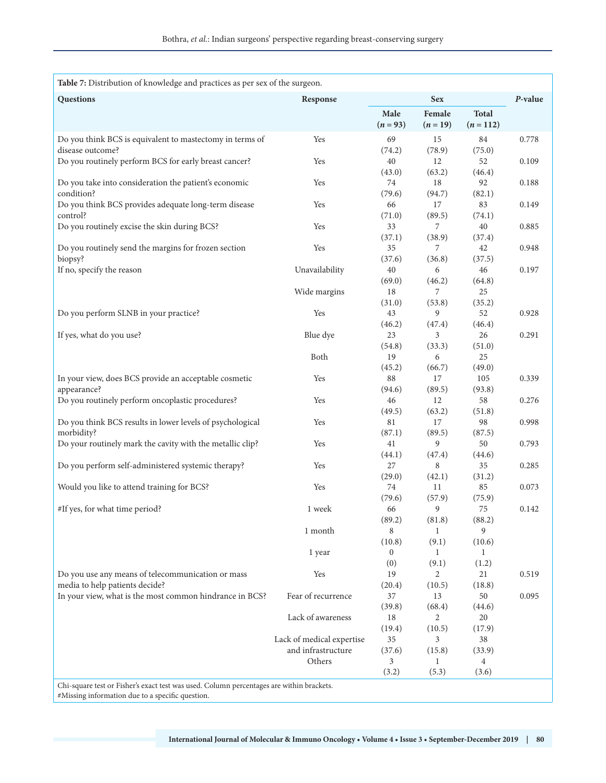| Table 7: Distribution of knowledge and practices as per sex of the surgeon.              |                                                 |                    |                          |                           |       |  |  |
|------------------------------------------------------------------------------------------|-------------------------------------------------|--------------------|--------------------------|---------------------------|-------|--|--|
| Questions                                                                                | <b>Sex</b><br>Response                          |                    | P-value                  |                           |       |  |  |
|                                                                                          |                                                 | Male<br>$(n = 93)$ | Female<br>$(n = 19)$     | <b>Total</b><br>$(n=112)$ |       |  |  |
| Do you think BCS is equivalent to mastectomy in terms of<br>disease outcome?             | Yes                                             | 69<br>(74.2)       | 15<br>(78.9)             | 84<br>(75.0)              | 0.778 |  |  |
| Do you routinely perform BCS for early breast cancer?                                    | Yes                                             | 40                 | 12                       | 52                        | 0.109 |  |  |
| Do you take into consideration the patient's economic<br>condition?                      | Yes                                             | (43.0)<br>74       | (63.2)<br>18             | (46.4)<br>92              | 0.188 |  |  |
| Do you think BCS provides adequate long-term disease                                     | Yes                                             | (79.6)<br>66       | (94.7)<br>17             | (82.1)<br>83              | 0.149 |  |  |
| control?<br>Do you routinely excise the skin during BCS?                                 | Yes                                             | (71.0)<br>33       | (89.5)<br>7              | (74.1)<br>40              | 0.885 |  |  |
| Do you routinely send the margins for frozen section                                     | Yes                                             | (37.1)<br>35       | (38.9)<br>7              | (37.4)<br>42              | 0.948 |  |  |
| biopsy?<br>If no, specify the reason                                                     | Unavailability                                  | (37.6)<br>40       | (36.8)<br>6              | (37.5)<br>46              | 0.197 |  |  |
|                                                                                          | Wide margins                                    | (69.0)<br>18       | (46.2)<br>7              | (64.8)<br>25              |       |  |  |
| Do you perform SLNB in your practice?                                                    | Yes                                             | (31.0)<br>43       | (53.8)<br>9              | (35.2)<br>52              | 0.928 |  |  |
| If yes, what do you use?                                                                 | Blue dye                                        | (46.2)<br>23       | (47.4)<br>3              | (46.4)<br>26              | 0.291 |  |  |
|                                                                                          | Both                                            | (54.8)<br>19       | (33.3)<br>6              | (51.0)<br>25              |       |  |  |
| In your view, does BCS provide an acceptable cosmetic                                    | Yes                                             | (45.2)<br>88       | (66.7)<br>17             | (49.0)<br>105             | 0.339 |  |  |
| appearance?<br>Do you routinely perform oncoplastic procedures?                          | Yes                                             | (94.6)<br>46       | (89.5)<br>12             | (93.8)<br>58              | 0.276 |  |  |
| Do you think BCS results in lower levels of psychological                                | Yes                                             | (49.5)<br>81       | (63.2)<br>17             | (51.8)<br>98              | 0.998 |  |  |
| morbidity?<br>Do your routinely mark the cavity with the metallic clip?                  | Yes                                             | (87.1)<br>41       | (89.5)<br>9              | (87.5)<br>50              | 0.793 |  |  |
| Do you perform self-administered systemic therapy?                                       | Yes                                             | (44.1)<br>27       | (47.4)<br>8              | (44.6)<br>35              | 0.285 |  |  |
| Would you like to attend training for BCS?                                               | Yes                                             | (29.0)<br>74       | (42.1)<br>11             | (31.2)<br>85              | 0.073 |  |  |
| #If yes, for what time period?                                                           | 1 week                                          | (79.6)<br>66       | (57.9)<br>9              | (75.9)<br>75              | 0.142 |  |  |
|                                                                                          |                                                 | (89.2)             | (81.8)                   | (88.2)                    |       |  |  |
|                                                                                          | 1 month                                         | 8<br>(10.8)        | $\mathbf{1}$<br>(9.1)    | 9<br>(10.6)               |       |  |  |
|                                                                                          | 1 year                                          | $\bf{0}$<br>(0)    | 1<br>(9.1)               | 1<br>(1.2)                |       |  |  |
| Do you use any means of telecommunication or mass<br>media to help patients decide?      | Yes                                             | 19<br>(20.4)       | $\overline{2}$<br>(10.5) | 21<br>(18.8)              | 0.519 |  |  |
| In your view, what is the most common hindrance in BCS?                                  | Fear of recurrence                              | 37<br>(39.8)       | 13<br>(68.4)             | 50<br>(44.6)              | 0.095 |  |  |
|                                                                                          | Lack of awareness                               | 18<br>(19.4)       | 2<br>(10.5)              | 20<br>(17.9)              |       |  |  |
|                                                                                          | Lack of medical expertise<br>and infrastructure | 35<br>(37.6)       | 3<br>(15.8)              | 38<br>(33.9)              |       |  |  |
|                                                                                          | Others                                          | 3<br>(3.2)         | 1<br>(5.3)               | 4<br>(3.6)                |       |  |  |
| Chi-square test or Fisher's exact test was used. Column percentages are within brackets. |                                                 |                    |                          |                           |       |  |  |